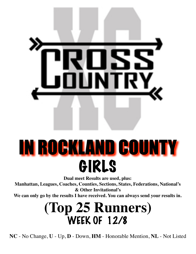

# IN ROCKLAND COUNTY GIRLS

**Dual meet Results are used, plus:**

**Manhattan, Leagues, Coaches, Counties, Sections, States, Federations, National's & Other Invitational's**

**We can only go by the results I have received. You can always send your results in.**

### **(Top 25 Runners)** WEEK OF 12/8

**NC** - No Change, **U** - Up, **D** - Down, **HM** - Honorable Mention, **NL** - Not Listed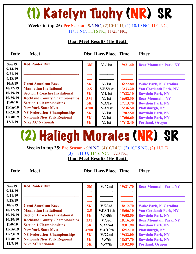# (1) Katelyn Tuohy (NR) SR

**Weeks in top 25: Pre Season -** 9/6 NC, (2)10/14 U, (1) 10/19 NC, 11/1 NC, 11/11 NC, 11/16 NC, 11/23/ NC,

### **Dual Meet Results (He Beat):**

**Date Meet Dist. Race/Place Time Place** 

| 9/6/19<br>9/14/19  | <b>Red Raider Run</b>                 | 3M   | V. / 1st            | 19:21.40 | <b>Bear Mountain Park, NY</b> |
|--------------------|---------------------------------------|------|---------------------|----------|-------------------------------|
| 9/21/19<br>9/28/19 |                                       |      |                     |          |                               |
| 10/5/19            | <b>Great American Race</b>            | 5K   | V <sub>1st</sub>    | 16:22.80 | <b>Wake Park, N. Carolina</b> |
| 10/12/19           | <b>Manhattan Invitational</b>         | 2.5  | V.ES/1st            | 13:33.20 | <b>Van Cortlandt Park, NY</b> |
| 10/19/19           | <b>Section 1 Coaches Invitational</b> | 5K   | V <sub>1</sub> /1st | 17:22.10 | <b>Bowdoin Park, NY</b>       |
| 10/29/19           | <b>Rockland County Championships</b>  | 3M   | V <sub>1st</sub>    | 16:08.30 | <b>Bear Mountain, NY</b>      |
| 11/9/19            | <b>Section 1 Championships</b>        | 5K   | V.A/1st             | 17:13.70 | <b>Bowdoin Park, NY</b>       |
| 11/16/19           | <b>New York State Meet</b>            | 4500 | V.A/1st             | 15:36.50 | <b>Plattsburgh, NY</b>        |
| 11/23/19           | <b>NY Federation Championships</b>    | 5K   | V <sub>1st</sub>    | 17:02.50 | <b>Bowdoin Park, NY</b>       |
| 11/30/19           | <b>Nationals New York Regional</b>    | 5K   | V <sub>1st</sub>    | 17:06.60 | <b>Bowdoin Park, NY</b>       |
| 12/7/19            | <b>Nike XC Nationals</b>              | 5K   | V <sub>1st</sub>    | 17:18.40 | <b>Portland, Oregon</b>       |

### (2) Haliegh Morales (NR) SR

**Weeks in top 25: Pre Season -** 9/6 NC, (4)10/14 U, (2) 10/19 NC, (2) 11/1 D, (3) 11/11 U, 11/16 NC, 11/23 NC, **Dual Meet Results (He Beat):** 

| 9/6/19   | <b>Red Raider Run</b>                 | 3M   | V. / 2nd             | 19:21.70 | <b>Bear Mountain Park, NY</b> |
|----------|---------------------------------------|------|----------------------|----------|-------------------------------|
| 9/14/19  |                                       |      |                      |          |                               |
| 9/21/19  |                                       |      |                      |          |                               |
| 9/28/19  |                                       |      |                      |          |                               |
| 10/5/19  | <b>Great American Race</b>            | 5K   | V <sub>1</sub> /23rd | 18:12.70 | <b>Wake Park, N. Carolina</b> |
| 10/12/19 | <b>Manhattan Invitational</b>         | 2.5  | V.ES/14th            | 15:06.10 | <b>Van Cortlandt Park, NY</b> |
| 10/19/19 | <b>Section 1 Coaches Invitational</b> | 5K   | V.1/5th              | 19:08.50 | <b>Bowdoin Park, NY</b>       |
| 10/29/19 | <b>Rockland County Championships</b>  | 3M   | V <sub>1</sub> /3rd  | 18:16.30 | <b>Bear Mountain Park, NY</b> |
| 11/9/19  | <b>Section 1 Championships</b>        | 5K   | V.A/2nd              | 19:01.90 | <b>Bowdoin Park, NY</b>       |
| 11/16/19 | <b>New York State Meet</b>            | 4500 | V.A/10th             | 16:52.10 | <b>Plattsburgh, NY</b>        |
| 11/23/19 | <b>NY Federation Championships</b>    | 5K   | V/22nd               | 19:22.00 | <b>Bowdoin Park, NY</b>       |
| 11/30/19 | <b>Nationals New York Regional</b>    | 5K   | $V_{\rm H}$          | 18:37.70 | <b>Bowdoin Park, NY</b>       |
| 12/7/19  | <b>Nike XC Nationals</b>              | 5K   | V <sub>1</sub> /77th | 19:02.00 | <b>Portland, Oregon</b>       |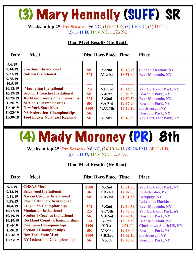# (3) Mary Hennelly (SUFF) SR

**Weeks in top 25: Pre Season -** 9/6 NC, (1)10/14 D, (3) 10/19 U, (5) 11/1 U, (2) 11/11 D, 11/16 NC, 11/23 NC,

### **Dual Meet Results (He Beat):**

| Date                                                                                                                                  | <b>Meet</b>                                                                                                                                                                                                                                                                                                                   |                                                       | <b>Dist. Race/Place Time</b>                                                                                 |                                                                                              | <b>Place</b>                                                                                                                                                                                                                                                  |
|---------------------------------------------------------------------------------------------------------------------------------------|-------------------------------------------------------------------------------------------------------------------------------------------------------------------------------------------------------------------------------------------------------------------------------------------------------------------------------|-------------------------------------------------------|--------------------------------------------------------------------------------------------------------------|----------------------------------------------------------------------------------------------|---------------------------------------------------------------------------------------------------------------------------------------------------------------------------------------------------------------------------------------------------------------|
| 9/6/19<br>9/14/19<br>9/21/19<br>9/28/19<br>10/5/19<br>10/12/19<br>10/19/19<br>10/29/19<br>11/9/19<br>11/16/19<br>11/23/19<br>11/30/19 | <b>Jim Smith Invitational</b><br><b>Suffern Invitational</b><br><b>Manhattan Invitational</b><br><b>Section 1 Coaches Invitational</b><br><b>Rockland County Championships</b><br><b>Section 1 Championships</b><br><b>New York State Meet</b><br><b>NY Federation Championships</b><br><b>Foot Locker Northeast Regional</b> | 5K<br>3M<br>2.5<br>5K<br>3M<br>5K<br>4500<br>5K<br>5K | V/2nd<br>V.A/1st<br>V.B/3rd<br>V.4/5th<br>V <sub>1</sub> /2nd<br>V.A/3rd<br>V.A/17th<br>V <sub>1</sub> /24th | 19:42.73<br>18:51.40<br>15:16.30<br>20:07.50<br>17:50.30<br>19:17.90<br>17:13.10<br>18:47.80 | <b>Sunken Meadow, NY</b><br><b>Bear Mountain, NY</b><br><b>Van Cortlandt Park, NY</b><br><b>Bowdoin Park, NY</b><br><b>Bear Mountain, NY</b><br><b>Bowdoin Park, NY</b><br><b>Plattsburgh, NY</b><br><b>Bowdoin Park, NY</b><br><b>Van Cortlandt Park, NY</b> |
|                                                                                                                                       |                                                                                                                                                                                                                                                                                                                               |                                                       |                                                                                                              |                                                                                              |                                                                                                                                                                                                                                                               |

### (4) Mady Moroney (PR) 8th

**Weeks in top 25: Pre Season -** 9/6 NC, (24)10/14 U, (5) 10/19 U, (4) 11/1 D, (5) 11/11 U, 11/16 NC, 11/23 NC,

#### **Dual Meet Results (He Beat):**

| 9/7/19   | <b>CHSAA Meet</b>                     | 2500 | V <sub>1</sub> /2nd | 10:21.00 | <b>Van Cortlandt Park, NY</b>  |
|----------|---------------------------------------|------|---------------------|----------|--------------------------------|
| 9/14/19  | <b>Briarwood Invitational</b>         | 3K   | FR./1st             | 12:02.00 | Philadelphia, Pa.              |
| 9/21/19  | <b>Nassau Coaches Invitational</b>    | 5K   | FR./1st             | 21:31.82 | <b>Bethpage, NY</b>            |
| 9/28/19  | <b>Florida Runners Invitational</b>   |      |                     |          | <b>Lakeland, Florida</b>       |
| 10/4/19  | <b>League 2A Championships</b>        | 3M   | V/2nd               | 19:10.54 | <b>Bear Mountain, NY</b>       |
| 10/12/19 | <b>Manhattan Invitational</b>         | 2.5  | V.F/5th             | 15:43.00 | <b>Van Cortlandt Park, nY</b>  |
| 10/19/19 | <b>Section 1 Coaches Invitational</b> | 5K   | V.3/2nd             | 19:48.40 | <b>Bowdoin Park, NY</b>        |
| 10/29/19 | <b>Rockland County Championships</b>  | 3M   | V <sub>1</sub> /5th | 18:35.50 | <b>Bear Mountain, NY</b>       |
| 11/4/19  | <b>Freshman Championships</b>         | 2400 | V/1st               | 9:31.00  | <b>Clarkstown South HS, NY</b> |
| 11/9/19  | <b>Section 1 Championships</b>        | 5K   | V.B/1st             | 19:18.00 | <b>Bowdoin Park, NY</b>        |
| 11/16/19 | <b>New York State Meet</b>            | 4500 | V.B/2nd             | 17:02.10 | <b>Plattsburgh, NY</b>         |
| 11/23/19 | <b>NY Federation Championships</b>    | 5K   | V/6th               | 18:45.90 | <b>Bowdoin Park, NY</b>        |
|          |                                       |      |                     |          |                                |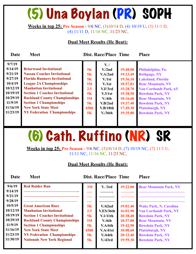# (5) Una Boylan (PR) SOPH

**Weeks in top 25: Pre Season -** 9/6 NC, (3)10/14 D, (4) 10/19 U, (3) 11/1 D, (4) 11/11 D, 11/16 NC, 11/23 NC,

### **Dual Meet Results (He Beat):**

**Date Meet Dist. Race/Place Time Place** 

| 9/7/19   |                                       |           | $V_{\cdot}$         |          |                               |
|----------|---------------------------------------|-----------|---------------------|----------|-------------------------------|
| 9/14/19  | <b>Briarwood Invitational</b>         | 5K        | V <sub>1</sub> /2nd | 19:48.00 | Philadelphia, Pa.             |
| 9/21/19  | <b>Nassau Coaches Invitational</b>    | <b>5K</b> | V.A/2nd             | 19:23.49 | <b>Bethpage, NY</b>           |
| 9/27/19  | <b>Florida Runners Invitational</b>   | 5K        | V/1st               | 19:36.10 | <b>Lakeland, Florida</b>      |
| 10/4/19  | <b>League 2A Championships</b>        | 3M        | V <sub>1st</sub>    | 18:57.81 | <b>Bear Mountain, NY</b>      |
| 10/12/19 | <b>Manhattan Invitational</b>         | 2.5       | V.F/3rd             | 15:28.70 | <b>Van Cortlandt Park, nY</b> |
| 10/19/19 | <b>Section 1 Coaches Invitational</b> | 5K        | V.3/1st             | 19:38.50 | <b>Bowdoin Park, NY</b>       |
| 10/29/19 | <b>Rockland County Championships</b>  | 3M        | V/4th               | 18:16.60 | <b>Bear Mountain, NY</b>      |
| 11/9/19  | <b>Section 1 Championships</b>        | 5K        | V.B/2nd             | 19:37.40 | <b>Bowdoin Park, NY</b>       |
| 11/16/19 | <b>New York State Meet</b>            | 4500      | V.B/18th            | 17:49.30 | <b>Plattsburgh, NY</b>        |
| 11/23/19 | <b>NY Federation Championships</b>    | <b>5K</b> | V/36th              | 19:35.80 | <b>Bowdoin Park, NY</b>       |
|          |                                       |           |                     |          |                               |
|          |                                       |           |                     |          |                               |

# (6) Cath. Ruffino (NR) SR

**Weeks in top 25: Pre Season -** 9/6 NC, (5)10/14 D, (7) 10/19 NC, (7) 11/1 U, 11/11 NC, 11/16 NC, 11/23 NC,

#### **Dual Meet Results (He Beat):**

| 9/6/19   | <b>Red Raider Run</b>                 | 3M   | V. / 3rd  | 19:22.00 | <b>Bear Mountain Park, NY</b> |
|----------|---------------------------------------|------|-----------|----------|-------------------------------|
| 9/14/19  |                                       |      |           |          |                               |
| 9/21/19  |                                       |      |           |          |                               |
| 9/28/19  |                                       |      |           |          |                               |
| 10/5/19  | <b>Great American Race</b>            | 5K   | V/62nd    | 19:01.40 | <b>Wake Park, N. Carolina</b> |
| 10/12/19 | <b>Manhattan Invitational</b>         | 2.5  | V.ES/36th | 16:01.90 | <b>Van Cortlandt Park, NY</b> |
| 10/19/19 | <b>Section 1 Coaches Invitational</b> | 5K   | V.1/11th  | 20:38.40 | <b>Bowdoin Park, NY</b>       |
| 10/29/19 | <b>Rockland County Championships</b>  | 3M   | V/6th     | 18:57.00 | <b>Bear Mountain, NY</b>      |
| 11/9/19  | <b>Section 1 Championships</b>        | 5K   | V.A/6th   | 19:42.90 | <b>Bowdoin Park, NY</b>       |
| 11/16/19 | <b>New York State Meet</b>            | 4500 | V.A/41st  | 18:00.60 | <b>Plattsburgh, NY</b>        |
| 11/23/19 | <b>NY Federation Championships</b>    | 5K   | V/64th    | 20:12.40 | <b>Bowdoin Park, NY</b>       |
| 11/30/19 | <b>Nationals New York Regional</b>    | 5K   | V.43rd    | 19:59.30 | <b>Bowdoin Park, NY</b>       |
|          |                                       |      |           |          |                               |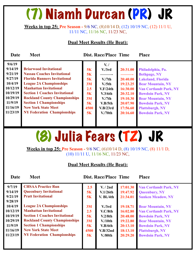### (7) Niamh Durcan (PR) JR

**Weeks in top 25: Pre Season -** 9/6 NC, (8)10/14 D, (12) 10/19 NC, (12) 11/1 U, 11/11 NC, 11/16 NC, 11/23 NC,

### **Dual Meet Results (He Beat):**

| Date                                                                                                                      | <b>Meet</b>                                                                                                                                                                                                                                                                                                                                                          |                                                                                  | <b>Dist. Race/Place Time</b>                                                                                                                                                      |                                                                                                          | <b>Place</b>                                                                                                                                                                                                                                                             |
|---------------------------------------------------------------------------------------------------------------------------|----------------------------------------------------------------------------------------------------------------------------------------------------------------------------------------------------------------------------------------------------------------------------------------------------------------------------------------------------------------------|----------------------------------------------------------------------------------|-----------------------------------------------------------------------------------------------------------------------------------------------------------------------------------|----------------------------------------------------------------------------------------------------------|--------------------------------------------------------------------------------------------------------------------------------------------------------------------------------------------------------------------------------------------------------------------------|
| 9/6/19<br>9/14/19<br>9/21/19<br>9/27/19<br>10/4/19<br>10/12/19<br>10/19/19<br>10/29/19<br>11/9/19<br>11/16/19<br>11/23/19 | <b>Briarwood Invitational</b><br><b>Nassau Coaches Invitational</b><br><b>Florida Runners Invitational</b><br><b>League 2A Championships</b><br><b>Manhattan Invitational</b><br><b>Section 1 Coaches Invitational</b><br><b>Rockland County Championships</b><br><b>Section 1 Championships</b><br><b>New York State Meet</b><br><b>NY Federation Championships</b> | 5K<br>5K<br>5K<br>3M<br>2.5<br><b>5K</b><br>3M<br><b>5K</b><br>4500<br><b>5K</b> | $V_{\bullet}$ /<br>V <sub>1</sub> /3rd<br>V <sub>1</sub> /7th<br>V <sub>1</sub> /5th<br>V.F/24th<br>V.3/6th<br>V <sub>1</sub> /7th<br>V.B/5th<br>V.B/23rd<br>V <sub>1</sub> /70th | 20:31.00<br>20:40.00<br>19:23.25<br>16:30.00<br>20:32.10<br>19:10.30<br>20:07.90<br>17:56.60<br>20:16.60 | Philadelphia, Pa.<br><b>Bethpage, NY</b><br><b>Lakeland, Florida</b><br><b>Bear Mountain, NY</b><br><b>Van Cortlandt Park, NY</b><br><b>Bowdoin Park, NY</b><br><b>Bear Mountain, NY</b><br><b>Bowdoin Park, NY</b><br><b>Plattsburgh, NY</b><br><b>Bowdoin Park, NY</b> |
|                                                                                                                           |                                                                                                                                                                                                                                                                                                                                                                      |                                                                                  |                                                                                                                                                                                   |                                                                                                          |                                                                                                                                                                                                                                                                          |

# (8) Julia Fears (TZ) JR

**Weeks in top 25: Pre Season -** 9/6 NC, (6)10/14 D, (8) 10/19 NC, (8) 11/1 D, (10) 11/11 U, 11/16 NC, 11/23 NC,

#### **Dual Meet Results (He Beat):**

| 9/7/19<br>9/14/19<br>9/21/19<br>9/28/19 | <b>CHSAA Practice Run</b><br><b>Queenbury Invitational</b><br><b>Pratt Invitational</b> | 2.5<br>5K<br>5K | V. / 2nd<br>V.1/26th<br>$V.$ Bl./4th | 17:01.30<br>19:47.92<br>21:34.01 | <b>Van Cortlandt Park, NY</b><br><b>Queenbury, NY</b><br><b>Sunken Meadow, NY</b> |
|-----------------------------------------|-----------------------------------------------------------------------------------------|-----------------|--------------------------------------|----------------------------------|-----------------------------------------------------------------------------------|
| 10/4/19                                 | <b>League 2A Championships</b>                                                          | 3M              | V <sub>1</sub> /3rd                  | 19:18.71                         | <b>Bear Mountain, NY</b>                                                          |
| 10/12/19                                | <b>Manhattan Invitational</b>                                                           | 2.5             | V.C/8th                              | 16:02.80                         | <b>Van Cortlandt Park, NY</b>                                                     |
| 10/19/19                                | <b>Section 1 Coaches Invitational</b>                                                   | <b>5K</b>       | V.2/8th                              | 20:48.00                         | <b>Bowdoin Park, NY</b>                                                           |
| 10/29/19                                | <b>Rockland County Championships</b>                                                    | 3M              | $V/10$ th                            | 19:22.80                         | <b>Bear Mountain, NY</b>                                                          |
| 11/9/19                                 | <b>Section 1 Championships</b>                                                          | 5K              | V.B/6th                              | 20:13.10                         | <b>Bowdoin Park, NY</b>                                                           |
| 11/16/19                                | <b>New York State Meet</b>                                                              | 4500            | V.B/32nd                             | 18:13.10                         | <b>Plattsburgh, NY</b>                                                            |
| 11/23/19                                | <b>NY Federation Championships</b>                                                      | 5K              | V. / 80th                            | 20:29.20                         | <b>Bowdoin Park, NY</b>                                                           |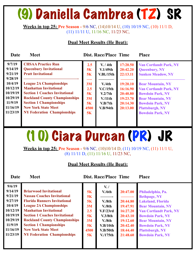### (9) Daniella Cambrea (TZ) SR

**Weeks in top 25: Pre Season -** 9/6 NC, (14)10/14 U, (10) 10/19 NC, (10) 11/1 D, (11) 11/11 U, 11/16 NC, 11/23 NC,

#### **Dual Meet Results (He Beat):**

| Date                                                                                                                      | <b>Meet</b>                                                                                                                                                                                                                                                                                                                                       |                                                                          | <b>Dist. Race/Place Time</b>                                                                           |                                                                                                          | <b>Place</b>                                                                                                                                                                                                                                                                          |
|---------------------------------------------------------------------------------------------------------------------------|---------------------------------------------------------------------------------------------------------------------------------------------------------------------------------------------------------------------------------------------------------------------------------------------------------------------------------------------------|--------------------------------------------------------------------------|--------------------------------------------------------------------------------------------------------|----------------------------------------------------------------------------------------------------------|---------------------------------------------------------------------------------------------------------------------------------------------------------------------------------------------------------------------------------------------------------------------------------------|
| 9/7/19<br>9/14/19<br>9/21/19<br>9/28/19<br>10/4/19<br>10/12/19<br>10/19/19<br>10/29/19<br>11/9/19<br>11/16/19<br>11/23/19 | <b>CHSAA Practice Run</b><br><b>Queenbury Invitational</b><br><b>Pratt Invitational</b><br><b>League 2A Championships</b><br><b>Manhattan Invitational</b><br><b>Section 1 Coaches Invitational</b><br><b>Rockland County Championships</b><br><b>Section 1 Championships</b><br><b>New York State Meet</b><br><b>NY Federation Championships</b> | 2.5<br>5K<br>5K<br>—<br>3M<br>2.5<br>5K<br>3M<br>5K<br>4500<br><b>5K</b> | V. / 4th<br>V.1/49th<br>V.BI./15th<br>V.4th<br>V.C/15th<br>V.2/7th<br>$V/11$ th<br>V.B/7th<br>V.B/94th | 17:20.50<br>20:42.20<br>22:13.11<br>19:20.10<br>16:16.90<br>20:40.80<br>19:23.70<br>20:14.30<br>20:13.00 | <b>Van Cortlandt Park, NY</b><br><b>Queenbury, NY</b><br><b>Sunken Meadow, NY</b><br><b>Bear Mountain, NY</b><br><b>Van Cortlandt Park, NY</b><br><b>Bowdoin Park, NY</b><br><b>Bear Mountain, NY</b><br><b>Bowdoin Park, NY</b><br><b>Plattsburgh, NY</b><br><b>Bowdoin Park, NY</b> |
|                                                                                                                           |                                                                                                                                                                                                                                                                                                                                                   |                                                                          |                                                                                                        |                                                                                                          |                                                                                                                                                                                                                                                                                       |

### (10) Ciara Durcan (PR) JR

**Weeks in top 25: Pre Season -** 9/6 NC, (10)10/14 D, (11) 10/19 NC, (11) 11/1 U, (8) 11/11 D, (11) 11/16 U, 11/23 NC,

#### **Dual Meet Results (He Beat):**

| 9/6/19<br>9/14/19<br><b>Briarwood Invitational</b><br>9/21/19<br><b>Nassau Coaches Invitational</b><br>9/27/19<br><b>Florida Runners Invitational</b><br>10/4/19<br><b>League 2A Championships</b><br>10/12/19<br><b>Manhattan Invitational</b><br>10/19/19<br><b>Section 1 Coaches Invitational</b><br>10/29/19<br><b>Rockland County Championships</b><br>11/9/19<br><b>Section 1 Championships</b><br>11/16/19<br><b>New York State Meet</b><br>11/23/19<br><b>NY Federation Championships</b> | 5K<br>5K<br>5K<br>3M<br>2.5<br>5K<br>3M<br>5K<br>4500<br>5K | $V_{\bullet}$ /<br>V/6th<br>V.8th<br>V.8th<br>V.F/23rd<br>V.3/8th<br>V.8th<br>V.B/10th<br>V.B/50th<br>$V/175$ th | 20:47.00<br>20:44.80<br>19:47.91<br>16:27.20<br>20:43.10<br>19:12.60<br>20:42.40<br>18:44.40<br>21:48.60 | Philadelphia, Pa.<br><b>Bethpage, NY</b><br><b>Lakeland, Florida</b><br><b>Bear Mountain, NY</b><br><b>Van Cortlandt Park, NY</b><br><b>Bowdoin Park, NY</b><br><b>Bear Mountain, NY</b><br><b>Bowdoin Park, NY</b><br><b>Plattsburgh, NY</b><br><b>Bowdoin Park, NY</b> |  |
|---------------------------------------------------------------------------------------------------------------------------------------------------------------------------------------------------------------------------------------------------------------------------------------------------------------------------------------------------------------------------------------------------------------------------------------------------------------------------------------------------|-------------------------------------------------------------|------------------------------------------------------------------------------------------------------------------|----------------------------------------------------------------------------------------------------------|--------------------------------------------------------------------------------------------------------------------------------------------------------------------------------------------------------------------------------------------------------------------------|--|
|                                                                                                                                                                                                                                                                                                                                                                                                                                                                                                   |                                                             |                                                                                                                  |                                                                                                          |                                                                                                                                                                                                                                                                          |  |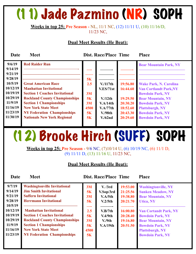### (11) Jade Pazmino (NR) SOPH

#### **Weeks in top 25: Pre Season -** NL, 11/1 NC, (12) 11/11 U, (10) 11/16/D, 11/23 NC,

### **Dual Meet Results (He Beat):**

**Date Meet Dist. Race/Place Time Place** 

| 9/6/19             | <b>Red Raider Run</b>                 |      |                    |          | <b>Bear Mountain Park, NY</b> |
|--------------------|---------------------------------------|------|--------------------|----------|-------------------------------|
| 9/14/19            |                                       |      |                    |          |                               |
| 9/21/19<br>9/28/19 |                                       | 5K   |                    |          |                               |
| 10/5/19            | <b>Great American Race</b>            | 2.5  | V/117th            | 19:56.80 | <b>Wake Park, N. Carolina</b> |
| 10/12/19           | <b>Manhattan Invitational</b>         |      | V.ES/71st          | 16:44.60 | <b>Van Cortlandt Park, NY</b> |
| 10/19/19           | <b>Section 1 Coaches Invitational</b> | 3M   |                    |          | <b>Bowdoin Park, NY</b>       |
| 10/29/19           | <b>Rockland County Championships</b>  | 5K   | V/12th             | 19:29.50 | <b>Bear Mountain, NY</b>      |
| 11/9/19            | <b>Section 1 Championships</b>        | 3M   | V.A/14th           | 20:30.20 | <b>Bowdoin Park, NY</b>       |
| 11/16/19           | <b>New York State Meet</b>            | 4500 | V.A/77th           | 18:52.60 | <b>Plattsburgh, NY</b>        |
| 11/23/19           | <b>NY Federation Championships</b>    | 5K   | V.98 <sub>th</sub> | 20:43.30 | <b>Bowdoin Park, NY</b>       |
| 11/30/19           | <b>Nationals New York Regional</b>    | 5K   | V/62nd             | 20:29.60 | <b>Bowdoin Park, NY</b>       |

# (12) Brooke Hirch (SUFF) SOPH

**Weeks in top 25: Pre Season -** 9/6 NC, (7)10/14 U, (6) 10/19 NC, (6) 11/1 D, (9) 11/11 D, (13) 11/16 U, 11/23 NC,

#### **Dual Meet Results (He Beat):**

| 9/7/19<br>9/14/19<br>9/21/19<br>9/28/19<br>10/5/19<br>10/12/19 | <b>Washingtonville Invitational</b><br><b>Jim Smith Invitational</b><br><b>Suffern Invitational</b><br><b>Herrmann Invitational</b><br><b>Manhattan Invitational</b>                | 3M<br>5K<br>3M<br>5K<br>2.5  | V. /3rd<br>V.Sop/3rd<br>V.A/5th<br>V.2/5 <sub>th</sub><br>V.B/7th | 19:53.00<br>21:25.56<br>19:38.80<br>20:21.70<br>16:00.80 | <b>Washingtonville, NY</b><br><b>Sunken Meadow, NY</b><br><b>Bear Mountain, NY</b><br><b>Utica, NY</b><br><b>Van Cortandt Park, NY</b> |
|----------------------------------------------------------------|-------------------------------------------------------------------------------------------------------------------------------------------------------------------------------------|------------------------------|-------------------------------------------------------------------|----------------------------------------------------------|----------------------------------------------------------------------------------------------------------------------------------------|
| 10/19/19<br>10/29/19<br>11/9/19<br>11/16/19<br>11/23/19        | <b>Section 1 Coaches Invitational</b><br><b>Rockland County Championships</b><br><b>Section 1 Championships</b><br><b>New York State Meet</b><br><b>NY Federation Championships</b> | 5K<br>3M<br>5K<br>4500<br>5K | V.4/9th<br>V <sub>0</sub> /9th<br>V.A/19th                        | 20:28.40<br>19:16.80<br>20:51.50                         | <b>Bowdoin Park, NY</b><br><b>Bear Mountain, NY</b><br><b>Bowdoin Park, NY</b><br><b>Plattsburgh, NY</b><br><b>Bowdoin Park, NY</b>    |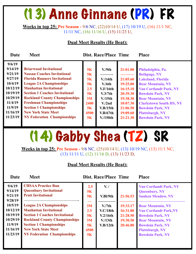## (13) Anne Ginnane (PR) FR

**Weeks in top 25: Pre Season -** 9/6 NC, (22)10/14 U, (17) 10/19 U, (16) 11/1 NC, 11/11 NC, (16) 11/16 U, (15) 11/23 U,

### **Dual Meet Results (He Beat):**

| Date                                                                                                                                 | <b>Meet</b>                                                                                                                                                                                                                                                                                                                                                                                           | <b>Dist. Race/Place Time</b>                                        | <b>Place</b>                                                                                                                            |                                                                                                                      |                                                                                                                                                                                                                                                                                                            |
|--------------------------------------------------------------------------------------------------------------------------------------|-------------------------------------------------------------------------------------------------------------------------------------------------------------------------------------------------------------------------------------------------------------------------------------------------------------------------------------------------------------------------------------------------------|---------------------------------------------------------------------|-----------------------------------------------------------------------------------------------------------------------------------------|----------------------------------------------------------------------------------------------------------------------|------------------------------------------------------------------------------------------------------------------------------------------------------------------------------------------------------------------------------------------------------------------------------------------------------------|
| 9/6/19<br>9/14/19<br>9/21/19<br>9/27/19<br>10/4/19<br>10/12/19<br>10/19/19<br>10/29/19<br>11/4/19<br>11/9/19<br>11/16/19<br>11/23/19 | <b>Briarwood Invitational</b><br><b>Nassau Coaches Invitational</b><br><b>Florida Runners Invitational</b><br><b>League 2A Championships</b><br><b>Manhattan Invitational</b><br><b>Section 1 Coaches Invitational</b><br><b>Rockland County Championships</b><br><b>Freshman Championships</b><br><b>Section 1 Championships</b><br><b>New York State Meet</b><br><b>NY Federation Championships</b> | 5K<br>5K<br>5K<br>5K<br>2.5<br>5K<br>3M<br>2400<br>5K<br>4500<br>5K | V <sub>0</sub> /9th<br>V/14th<br>V/6th<br>V.F/16th<br>V.3/7th<br>$V/15$ th<br>V <sub>1</sub> /2nd<br>V.B/15th<br>V.B/67th<br>$V/150$ th | 21:01.00<br>21:05.60<br>19:25.00<br>16:15.10<br>20:39.30<br>19:38.30<br>10:07.30<br>21:06.50<br>19:09.60<br>21:21.30 | Philadelphia, Pa.<br><b>Bethpage, NY</b><br><b>Lakeland, Florida</b><br><b>Bear Mountain, NY</b><br><b>Van Cortlandt Park, NY</b><br><b>Bowdoin Park, NY</b><br><b>Bear Mountain, NY</b><br><b>Clarkstown South HS, NY</b><br><b>Bowdoin Park, NY</b><br><b>Plattsburgh, NY</b><br><b>Bowdoin Park, NY</b> |
|                                                                                                                                      |                                                                                                                                                                                                                                                                                                                                                                                                       |                                                                     |                                                                                                                                         |                                                                                                                      |                                                                                                                                                                                                                                                                                                            |

(14) Gabby Shea (TZ) SR

**Weeks in top 25: Pre Season -** 9/6 NC, (25)10/14 U, (13) 10/19 NC, (13) 11/1 NC, (13) 11/11 U, (12) 11/16 D, (13) 11/23 D,

#### **Dual Meet Results (He Beat):**

| 9/6/19<br>9/14/19<br>9/21/19<br>9/28/19<br>10/5/19<br>10/12/19<br>10/19/19<br>10/29/19<br>11/9/19<br>11/16/19 | <b>CHSAA Practice Run</b><br><b>Queenbury Invitational</b><br><b>Pratt Invitational</b><br><b>League 2A Championships</b><br><b>Manhattan Invitational</b><br><b>Section 1 Coaches Invitational</b><br><b>Rockland County Championships</b><br><b>Section 1 Championships</b><br><b>New York State Meet</b> | 2.5<br>5K<br>5K<br>3M<br>2.5<br>5K<br>3M<br>5K<br>4500 | $V_{\cdot}$ /<br>V.Bl/9th<br>V <sub>1</sub> /7th<br>V.C/18th<br>V.2/16th<br>V/13 <sup>th</sup><br>V.B/12th | 21:56.53<br>19:33.17<br>16:31.00<br>21:28.50<br>19:30.50<br>20:46.80 | <b>Van Cortlandt Park, NY</b><br><b>Queenbury, NY</b><br><b>Sunken Meadow, NY</b><br><b>Bear Mountain, NY</b><br><b>Van Cortlandt Park, NY</b><br><b>Bowdoin Park, NY</b><br><b>Bear Mountain, NY</b><br><b>Bowdoin Park, NY</b><br><b>Plattsburgh, NY</b> |
|---------------------------------------------------------------------------------------------------------------|-------------------------------------------------------------------------------------------------------------------------------------------------------------------------------------------------------------------------------------------------------------------------------------------------------------|--------------------------------------------------------|------------------------------------------------------------------------------------------------------------|----------------------------------------------------------------------|------------------------------------------------------------------------------------------------------------------------------------------------------------------------------------------------------------------------------------------------------------|
| 11/23/19                                                                                                      | <b>NY Federation Championships</b>                                                                                                                                                                                                                                                                          | 5K                                                     |                                                                                                            |                                                                      | <b>Bowdoin Park, NY</b>                                                                                                                                                                                                                                    |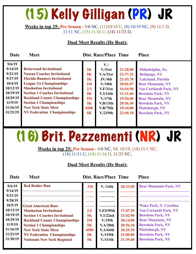# (15) Kelly Gilligan (PR) JR

**Weeks in top 25: Pre Season -** 9/6 NC, (11)10/14 U, (9) 10/19 NC, (9) 11/1 D, 11/11 NC, (15) 11/16 U, (14) 11/23 D,

### **Dual Meet Results (He Beat):**

| Date                                                                                                          | <b>Meet</b>                                                                                                                                                                                                                                                                                                                    |                                                       | <b>Dist. Race/Place Time</b>                                                                                                     |                                                                                                          | <b>Place</b>                                                                                                                                                                                                                                  |
|---------------------------------------------------------------------------------------------------------------|--------------------------------------------------------------------------------------------------------------------------------------------------------------------------------------------------------------------------------------------------------------------------------------------------------------------------------|-------------------------------------------------------|----------------------------------------------------------------------------------------------------------------------------------|----------------------------------------------------------------------------------------------------------|-----------------------------------------------------------------------------------------------------------------------------------------------------------------------------------------------------------------------------------------------|
| 9/6/19<br>9/14/19<br>9/21/19<br>9/27/19<br>10/4/19<br>10/12/19<br>10/19/19<br>10/29/19<br>11/9/19<br>11/16/19 | <b>Briarwood Invitational</b><br><b>Nassau Coaches Invitational</b><br><b>Florida Runners Invitational</b><br><b>League 2A Championships</b><br><b>Manhattan Invitational</b><br><b>Section 1 Coaches Invitational</b><br><b>Rockland County Championships</b><br><b>Section 1 Championships</b><br><b>New York State Meet</b> | 5K<br>5K<br>5K<br>3M<br>2.5<br>5K<br>3M<br>5K<br>4500 | $V_{\cdot}$<br>V <sub>1</sub> /31st<br>V.A/31st<br>JV/4th<br>$V/10$ th<br>V.F/31st<br>V.3/14th<br>V/17th<br>V.B/13th<br>V.B/75th | 21:28.00<br>21:37.32<br>21:43.70<br>20:01.07<br>16:54.90<br>21:31.60<br>19:54.60<br>20:56.30<br>19:34.00 | Philadelphia, Pa.<br><b>Bethpage, NY</b><br><b>Lakeland, Florida</b><br><b>Bear Mountain, NY</b><br><b>Van Cortlandt Park, NY</b><br><b>Bowdoin Park, NY</b><br><b>Bear Mountain, NY</b><br><b>Bowdoin Park, NY</b><br><b>Plattsburgh, NY</b> |
| 11/23/19                                                                                                      | <b>NY Federation Championships</b>                                                                                                                                                                                                                                                                                             | 5K                                                    | V <sub>1</sub> /219th                                                                                                            | 22:49.10                                                                                                 | <b>Bowdoin Park, NY</b>                                                                                                                                                                                                                       |

### (16) Brit. Pezzementi (NR) JR

**Weeks in top 25: Pre Season -** 9/6 NC, NL 10/19, (18) 11/1 NC, (18) 11/11 U, (14) 11/16 D, 11/23 NC,

#### **Dual Meet Results (He Beat):**

| Date                          | <b>Meet</b>                                                                                          |            | <b>Dist. Race/Place Time</b>   |                      | <b>Place</b>                                                                             |
|-------------------------------|------------------------------------------------------------------------------------------------------|------------|--------------------------------|----------------------|------------------------------------------------------------------------------------------|
| 9/6/19<br>9/14/19             | <b>Red Raider Run</b>                                                                                | 3M         | V. /14th                       | 20:33.50             | <b>Bear Mountain Park, NY</b>                                                            |
| 9/21/19<br>9/28/19<br>10/5/19 |                                                                                                      |            |                                |                      |                                                                                          |
| 10/12/19<br>10/19/19          | <b>Great American Race</b><br><b>Manhattan Invitational</b><br><b>Section 1 Coaches Invitational</b> | 2.5<br>5K  | V.ES/95th<br>V.1/22nd          | 17:47.30<br>21:42.90 | <b>Wake Park, N. Carolina</b><br><b>Van Cortandt Park, NY</b><br><b>Bowdoin Park, NY</b> |
| 10/29/19<br>11/9/19           | <b>Rockland County Championships</b><br><b>Section 1 Championships</b>                               | 3M<br>5K   | V/19 <sub>th</sub><br>V.A/20th | 20:14.00<br>20:56.10 | <b>Bear Mountain, NY</b><br><b>Bowdoin Park, NY</b>                                      |
| 11/16/19<br>11/23/19          | <b>New York State Meet</b><br><b>NY Federation Championships</b>                                     | 4500<br>5K | V.A/64th<br>$V/119$ th         | 18:29.30<br>21:00.80 | <b>Plattsburgh, NY</b><br><b>Bowdoin Park, NY</b>                                        |
| 11/30/19                      | <b>Nationals New York Regional</b>                                                                   | 5K         | $V/111$ th                     | 21:39.60             | <b>Bowdoin Park, NY</b>                                                                  |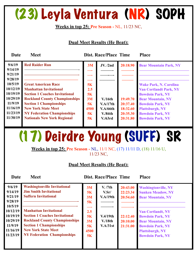### (23) Leyla Ventura (NR) SOPH

### **Weeks in top 25: Pre Season -** NL, 11/23 NC,

### **Dual Meet Results (He Beat):**

**Date Meet Dist. Race/Place Time Place** 

| 9/6/19   | <b>Red Raider Run</b>                 | 3M   | <b>JV.</b> /2nd | 20:18.90 | <b>Bear Mountain Park, NY</b> |
|----------|---------------------------------------|------|-----------------|----------|-------------------------------|
| 9/14/19  |                                       |      |                 |          |                               |
| 9/21/19  |                                       |      |                 |          |                               |
| 9/28/19  |                                       |      |                 |          |                               |
| 10/5/19  | <b>Great American Race</b>            | 5K   |                 |          | <b>Wake Park, N. Carolina</b> |
| 10/12/19 | <b>Manhattan Invitational</b>         | 2.5  |                 |          | <b>Van Cortlandt Park, NY</b> |
| 10/19/19 | <b>Section 1 Coaches Invitational</b> | 5K   |                 |          | <b>Bowdoin Park, NY</b>       |
| 10/29/19 | <b>Rockland County Championships</b>  | 3M   | V/16th          | 19:49.70 | <b>Bear Mountain, NY</b>      |
| 11/9/19  | <b>Section 1 Championships</b>        | 5K   | V.A/17th        | 20:37.40 | <b>Bowdoin Park, NY</b>       |
| 11/16/19 | <b>New York State Meet</b>            | 4500 | <b>V.A/66th</b> | 18:32.60 | <b>Plattsburgh, NY</b>        |
| 11/23/19 | <b>NY Federation Championships</b>    | 5K   | V. / 84th       | 20:35.30 | <b>Bowdoin Park, NY</b>       |
| 11/30/19 | <b>Nationals New York Regional</b>    | 5K   | V/63rd          | 20:31.80 | <b>Bowdoin Park, NY</b>       |
|          |                                       |      |                 |          |                               |

# (17) Deirdre Young (SUFF) SR

**Weeks in top 25: Pre Season -** NL, 11/1 NC, (17) 11/11 D, (18) 11/16 U, 11/23 NC,

### **Dual Meet Results (He Beat):**

| <b>Suffern Invitational</b><br>9/21/19<br>V.A/19th<br>20:54.60<br>3M<br><b>Bear Mountain, NY</b><br>9/28/19<br>5K<br>10/5/19<br><b>Manhattan Invitational</b><br>10/12/19<br>2.5<br><b>Van Cortlandt, NY</b><br><b>Section 1 Coaches Invitational</b><br>10/19/19<br>V.4/19th<br>5K<br>22:12.40<br><b>Bowdoin Park, NY</b><br><b>Rockland County Championships</b><br>10/29/19<br>V/18 <sub>th</sub><br>20:10.00<br>3M<br><b>Bear Mountain, NY</b><br><b>Section 1 Championships</b><br>11/9/19<br>V.A/31st<br>21:31.00<br>5K<br><b>Bowdoin Park, NY</b><br><b>New York State Meet</b><br>11/16/19<br>4500<br><b>Plattsburgh, NY</b><br><b>NY Federation Championships</b><br>11/23/19<br>5K<br><b>Bowdoin Park, NY</b> | 20:43.00<br><b>Washingtonville, NY</b><br>V.Sr/<br>22:23.34<br><b>Sunken Meadow, NY</b> | V. /7th | 3M<br>5K | <b>Washingtonville Invitational</b><br><b>Jim Smith Invitational</b> | 9/6/19<br>9/14/19 |
|-------------------------------------------------------------------------------------------------------------------------------------------------------------------------------------------------------------------------------------------------------------------------------------------------------------------------------------------------------------------------------------------------------------------------------------------------------------------------------------------------------------------------------------------------------------------------------------------------------------------------------------------------------------------------------------------------------------------------|-----------------------------------------------------------------------------------------|---------|----------|----------------------------------------------------------------------|-------------------|
|-------------------------------------------------------------------------------------------------------------------------------------------------------------------------------------------------------------------------------------------------------------------------------------------------------------------------------------------------------------------------------------------------------------------------------------------------------------------------------------------------------------------------------------------------------------------------------------------------------------------------------------------------------------------------------------------------------------------------|-----------------------------------------------------------------------------------------|---------|----------|----------------------------------------------------------------------|-------------------|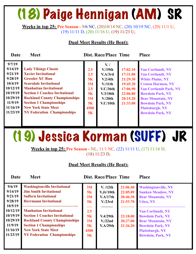### (18) Paige Hennigan (AM) SR

**Weeks in top 25: Pre Season -** 9/6 NC, (20)10/14 NC, (20) 10/19 NC, (20) 11/1 U, (19) 11/11 D, (20) 11/16 U, (19) 11/23 U,

#### **Dual Meet Results (He Beat):**

| Date                                                                                                                      | <b>Meet</b>                                                                                                                                                                                                                                                                                                                                  |                                                               | <b>Dist. Race/Place Time</b>                                                                                                 |                                                                                              | <b>Place</b>                                                                                                                                                                                                                                                                        |
|---------------------------------------------------------------------------------------------------------------------------|----------------------------------------------------------------------------------------------------------------------------------------------------------------------------------------------------------------------------------------------------------------------------------------------------------------------------------------------|---------------------------------------------------------------|------------------------------------------------------------------------------------------------------------------------------|----------------------------------------------------------------------------------------------|-------------------------------------------------------------------------------------------------------------------------------------------------------------------------------------------------------------------------------------------------------------------------------------|
| 9/7/19<br>9/14/19<br>9/21/19<br>9/28/19<br>10/4/19<br>10/12/19<br>10/19/19<br>10/29/19<br>11/9/19<br>11/16/19<br>11/23/19 | <b>Lady Vikings Classic</b><br><b>Xavier Invitational</b><br><b>Gressler XC Run</b><br><b>Scarsdale Invitational</b><br><b>Manhattan Invitational</b><br><b>Section 1 Coaches Invitational</b><br><b>Rockland County Championships</b><br><b>Section 1 Championships</b><br><b>New York State Meet</b><br><b>NY Federation Championships</b> | 2.5<br>2.5<br>5K<br>3M<br>2.5<br>5K<br>3M<br>5K<br>4500<br>5K | $V_{\cdot}$<br>V/19th<br>V.A/3rd<br>V.2/4th<br>V <sub>11th</sub><br>V.C/36th<br>V.3/18th<br>V <sub>1</sub> /20th<br>V.C/10th | 17:02.10<br>17:31.80<br>21:29.30<br>19:45.20<br>17:06.90<br>22:06.80<br>20:15.20<br>21:33.00 | <b>Van Cortlandt, NY</b><br><b>Van Cortlandt, NY</b><br><b>White Plains, NY</b><br><b>Croton Harmon, NY</b><br><b>Van Cortlandt Park, NY</b><br><b>Bowdoin Park, NY</b><br><b>Bear Mountain, NY</b><br><b>Bowdoin Park, NY</b><br><b>Plattsburgh, NY</b><br><b>Bowdoin Park, NY</b> |
|                                                                                                                           |                                                                                                                                                                                                                                                                                                                                              |                                                               |                                                                                                                              |                                                                                              |                                                                                                                                                                                                                                                                                     |

### (19) Jessica Korman (SUFF) JR

**Weeks in top 25: Pre Season -** NL, 11/1 NC, (22) 11/11 U, (17) 11/16 D, (18) 11/23 D,

#### **Dual Meet Results (He Beat):**

| 9/6/19<br>9/14/19<br>9/21/19<br>9/28/19<br>10/5/19                  | <b>Washingtonville Invitational</b><br><b>Jim Smith Invitational</b><br><b>Suffern Invitational</b><br><b>Herrmann Invitational</b>                                                                                  | 3M<br>5K<br>3M<br>5K                | V. /12th<br>V.Jr/10th<br>V.A/17th<br>V <sub>1</sub> /23rd | 21:06.40<br>22:05.89<br>20:46.30<br>21:53.70 | <b>Washingtonville, NY</b><br><b>Sunken Meadow, NY</b><br><b>Bear Mountain, NY</b><br><b>Utica, NY</b>                                                           |
|---------------------------------------------------------------------|----------------------------------------------------------------------------------------------------------------------------------------------------------------------------------------------------------------------|-------------------------------------|-----------------------------------------------------------|----------------------------------------------|------------------------------------------------------------------------------------------------------------------------------------------------------------------|
| 10/12/19<br>10/19/19<br>10/29/19<br>11/9/19<br>11/16/19<br>11/23/19 | <b>Manhattan Invitational</b><br><b>Section 1 Coaches Invitational</b><br><b>Rockland County Championships</b><br><b>Section 1 Championships</b><br><b>New York State Meet</b><br><b>NY Federation Championships</b> | 2.5<br>5K<br>3M<br>5K<br>4500<br>5K | V.4/29th<br>V <sub>1</sub> /22nd<br>V.A/29th              | 23:18.00<br>20:27.00<br>21:26.20             | <b>Van Cortlandt, NY</b><br><b>Bowdoin Park, NY</b><br><b>Bear Mountain, NY</b><br><b>Bowdoin Park, NY</b><br><b>Plattsburgh, NY</b><br><b>Bowdoin, Park, NY</b> |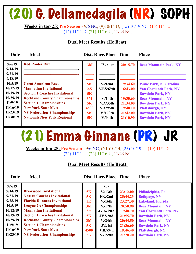# (20) G. Dellamedagila (NR) SOPH

**Weeks in top 25: Pre Season -** 9/6 NC, (9)10/14 D, (15) 10/19 NC, (15) 11/1 U, (14) 11/11 D, (21) 11/16 U, 11/23 NC,

### **Dual Meet Results (He Beat):**

**Date** Meet **Dist. Race/Place Time Place** 

| 9/6/19             | <b>Red Raider Run</b>                 | 3M   | JV. / 1st          | 20:15.70 | <b>Bear Mountain Park, NY</b> |
|--------------------|---------------------------------------|------|--------------------|----------|-------------------------------|
| 9/14/19            |                                       |      |                    |          |                               |
| 9/21/19<br>9/28/19 |                                       |      |                    |          |                               |
| 10/5/19            | <b>Great American Race</b>            | 5K   | V.92nd             | 19:34.60 | <b>Wake Park, N. Carolina</b> |
| 10/12/19           | <b>Manhattan Invitational</b>         | 2.5  | V.ES/69th          | 16:43.00 | <b>Van Cortlandt Park, NY</b> |
| 10/19/19           | <b>Section 1 Coaches Invitational</b> | 5K   |                    |          | <b>Bowdoin Park, NY</b>       |
| 10/29/19           | <b>Rockland County Championships</b>  | 3M   | V/14th             | 19:30.60 | <b>Bear Mountain, NY</b>      |
| 11/9/19            | <b>Section 1 Championships</b>        | 5K   | V.A/35th           | 21:34.00 | <b>Bowdoin Park, NY</b>       |
| 11/16/19           | <b>New York State Meet</b>            | 4500 | V.A/95th           | 19:48.10 | <b>Plattsburgh, NY</b>        |
| 11/23/19           | <b>NY Federation Championships</b>    | 5K   | V/170th            | 21:42.00 | <b>Bowdoin Park, NY</b>       |
| 11/30/19           | <b>Nationals New York Regional</b>    | 5K   | V.94 <sup>th</sup> | 21:10.90 | <b>Bowdoin Park, NY</b>       |
|                    |                                       |      |                    |          |                               |

# (21) Emma Ginnane (PR) JR

**Weeks in top 25: Pre Season -** 9/6 NC, (NL)10/14, (25) 10/19 U, (19) 11/1 D, (24) 11/11 U, (22) 11/16 U, 11/23 NC,

#### **Dual Meet Results (He Beat):**

| 9/7/19   |                                       |           | $V_{\cdot}$        |          |                               |
|----------|---------------------------------------|-----------|--------------------|----------|-------------------------------|
| 9/14/19  | <b>Briarwood Invitational</b>         | 5K        | V/13 <sub>th</sub> | 23:12.00 | Philadelphia, Pa.             |
| 9/21/19  | <b>Nassau Coaches Invitational</b>    | 5K        | FR./2nd            | 25:44.23 | <b>Bethpage, NY</b>           |
| 9/28/19  | <b>Florida Runners Invitational</b>   | 5K        | V/16th             | 23:27.30 | <b>Lakeland, Florida</b>      |
| 10/5/19  | <b>League 2A Championships</b>        | 3M        | V/17th             | 20:58.90 | <b>Bear Mountain, NY</b>      |
| 10/12/19 | <b>Manhattan Invitational</b>         | 2.5       | JV.A/19th          | 17:48.70 | <b>Van Cortlandt Park, NY</b> |
| 10/19/19 | <b>Section 1 Coaches Invitational</b> | 5K        | JV2/2nd            | 21:55.70 | <b>Bowdoin Park, NY</b>       |
| 10/29/19 | <b>Rockland County Championships</b>  | 3M        | V/24th             | 20:44.50 | <b>Bear Mountain, NY</b>      |
| 11/9/19  | <b>Section 1 Championships</b>        | <b>5K</b> | JV./1st            | 21:36.60 | <b>Bowdoin Park, NY</b>       |
| 11/16/19 | <b>New York State Meet</b>            | 4500      | V.B/79th           | 19:46.40 | <b>Plattsburgh, NY</b>        |
| 11/23/19 | <b>NY Federation Championships</b>    | 5K        | $V/159$ th         | 21:28.20 | <b>Bowdoin Park, NY</b>       |
|          |                                       |           |                    |          |                               |
|          |                                       |           |                    |          |                               |
|          |                                       |           |                    |          |                               |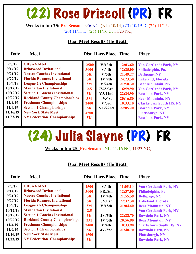### (22) Rose Driscoll (PR) FR

#### **Weeks in top 25: Pre Season -** 9/6 NC, (NL) 10/14, (23) 10/19 D, (24) 11/1 U, (20) 11/11 D, (25) 11/16 U, 11/23 NC,

### **Dual Meet Results (He Beat):**

**Date Meet Dist. Race/Place Time Place** 

| 9/7/19   | <b>CHSAA Meet</b>                     | 2500 | V/13th              | 12:03.60 | <b>Van Cortlandt Park, NY</b>  |
|----------|---------------------------------------|------|---------------------|----------|--------------------------------|
| 9/14/19  | <b>Briarwood Invitational</b>         | 3000 | V/4th               | 12:25.00 | Philadelphia, Pa.              |
| 9/21/19  | <b>Nassau Coaches Invitational</b>    | 5K   | V <sub>1</sub> /5th | 21:49.27 | <b>Bethpage, NY</b>            |
| 9/27/19  | <b>Florida Runners Invitational</b>   | 5K   | JV/9th              | 24:23.50 | <b>Lakeland, Florida</b>       |
| 10/4/19  | <b>League 2A Championships</b>        | 3M   | V/24th              | 21:50.30 | <b>Bear Mountain, NY</b>       |
| 10/12/19 | <b>Manhattan Invitational</b>         | 2.5  | JV.A/3rd            | 16:59.90 | <b>Van Cortlandt Park, NY</b>  |
| 10/19/19 | <b>Section 1 Coaches Invitational</b> | 5K   | V.3/22nd            | 22:24.90 | <b>Bowdoin Park, NY</b>        |
| 10/29/19 | <b>Rockland County Championships</b>  | 3M   | JV/1st              | 20:16.80 | <b>Bear Mountain, NY</b>       |
| 11/4/19  | <b>Freshman Championships</b>         | 2400 | V <sub>1</sub> /3rd | 10:33.10 | <b>Clarkstown South HS, NY</b> |
| 11/9/19  | <b>Section 1 Championships</b>        | 5K   | V.B/22nd            | 22:05.20 | <b>Bowdoin Park, NY</b>        |
| 11/16/19 | <b>New York State Meet</b>            | 4500 |                     |          | <b>Plattsburgh, NY</b>         |
| 11/23/19 | <b>NY Federation Championships</b>    | 5K   |                     |          | <b>Bowdoin Park, NY</b>        |
|          |                                       |      |                     |          |                                |

### (24) Julia Slayne (PR) FR

**Weeks in top 25: Pre Season -** NL, 11/16 NC, 11/23 NC,

### **Dual Meet Results (He Beat):**

| 9/7/19   | <b>CHSAA Meet</b>                     | 2500      | V.4th                | 11:05.10 | <b>Van Cortlandt Park, NY</b>  |
|----------|---------------------------------------|-----------|----------------------|----------|--------------------------------|
| 9/14/19  | <b>Briarwood Invitational</b>         | 3000      | FR./8th              | 12:37.00 | Philadelphia, Pa.              |
| 9/21/19  | <b>Nassau Coaches Invitational</b>    | 5K        | JV/4th               | 21:55.58 | <b>Bethpage, NY</b>            |
| 9/27/19  | <b>Florida Runners Invitational</b>   | <b>5K</b> | JV./1st              | 22:37.30 | <b>Lakeland, Florida</b>       |
| 10/4/19  | <b>League 2A Championships</b>        | 3M        | V/18 <sub>th</sub>   | 21:04.40 | <b>Bear Mountain, NY</b>       |
| 10/12/19 | <b>Manhattan Invitational</b>         | 2.5       |                      |          | <b>Van Cortlandt Park, NY</b>  |
| 10/19/19 | <b>Section 1 Coaches Invitational</b> | 5K        | JV <sub>1</sub> /5th | 22:28.70 | <b>Bowdoin Park, NY</b>        |
| 10/29/19 | <b>Rockland County Championships</b>  | 3M        | JV <sub>1</sub> /5th | 20:56.90 | <b>Bear Mountain, NY</b>       |
| 11/4/19  | <b>Freshman Championships</b>         | 2400      | V/4th                | 10:33.90 | <b>Clarkstown South HS, NY</b> |
| 11/9/19  | <b>Section 1 Championships</b>        | <b>5K</b> | JV/2nd               | 21:40.70 | <b>Bowdoin Park, NY</b>        |
| 11/16/19 | <b>New York State Meet</b>            | 4500      |                      |          | <b>Plattsburgh, NY</b>         |
| 11/23/19 | <b>NY Federation Championships</b>    | 5K        |                      |          | <b>Bowdoin Park, NY</b>        |
|          |                                       |           |                      |          |                                |
|          |                                       |           |                      |          |                                |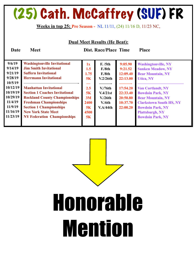### (25) Cath. McCaffrey (SUF) FR

#### **Weeks in top 25: Pre Season -** NL 11/11, (24) 11/16 D, 11/23 NC,

| <b>Dual Meet Results (He Beat):</b> |  |
|-------------------------------------|--|
|                                     |  |

| 9/6/19   | <b>Washingtonville Invitational</b>   | 1x        | F. /5th              | 9:05.90  | <b>Washingtonville, NY</b>     |
|----------|---------------------------------------|-----------|----------------------|----------|--------------------------------|
| 9/14/19  | <b>Jim Smith Invitational</b>         | 1.5       | F/8th                | 9:21.52  | <b>Sunken Meadow, NY</b>       |
| 9/21/19  | <b>Suffern Invitational</b>           | 1.75      | F/8th                | 12:09.40 | <b>Bear Mountain, NY</b>       |
| 9/28/19  | <b>Herrmann Invitational</b>          | 5K        | V.2/26th             | 22:13.00 | <b>Utica, NY</b>               |
| 10/5/19  |                                       |           |                      |          |                                |
| 10/12/19 | <b>Manhattan Invitational</b>         | 2.5       | V <sub>1</sub> /76th | 17:54.20 | <b>Van Cortlandt, NY</b>       |
| 10/19/19 | <b>Section 1 Coaches Invitational</b> | <b>5K</b> | V.4/21st             | 22:33.40 | <b>Bowdoin Park, NY</b>        |
| 10/29/19 | <b>Rockland County Championships</b>  | 3M        | V/26th               | 20:50.80 | <b>Bear Mountain, NY</b>       |
| 11/4/19  | <b>Freshman Championships</b>         | 2400      | V/6th                | 10:37.70 | <b>Clarkstown South HS, NY</b> |
| 11/9/19  | <b>Section 1 Championships</b>        | <b>5K</b> | V.A/44th             | 22:00.20 | <b>Bowdoin Park, NY</b>        |
| 11/16/19 | <b>New York State Meet</b>            | 4500      |                      |          | <b>Plattsburgh, NY</b>         |
| 11/23/19 | <b>NY Federation Championships</b>    | 5K        |                      |          | <b>Bowdoin Park, NY</b>        |
|          |                                       |           |                      |          |                                |

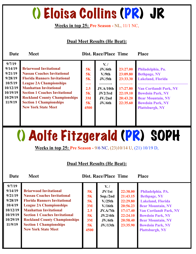### () Eloisa Collins (PR) JR

#### **Weeks in top 25: Pre Season -** NL, 11/1 NC,

#### **Dual Meet Results (He Beat):**

**Date Meet Dist. Race/Place Time Place** 

| 5K<br>JV <sub>1</sub> /5th<br>10/5/19<br><b>League 2A Championships</b><br>——<br><b>Manhattan Invitational</b><br>10/12/19<br>2.5<br>17:27.80<br>JV.A/10th<br><b>Van Cortlandt Park, NY</b><br>10/19/19<br><b>Section 1 Coaches Invitational</b><br>5K<br>22:19.10<br><b>Bowdoin Park, NY</b><br>JV2/3rd<br>10/29/19<br><b>Rockland County Championships</b><br>3M<br>20:43.20<br><b>Bear Mountain, NY</b><br>$JV$ ./2nd<br>11/9/19<br><b>Section 1 Championships</b><br>5K<br>22:35.60<br><b>Bowdoin Park, NY</b><br>JV/6th<br><b>New York State Meet</b><br>4500<br><b>Plattsburgh, NY</b> | 9/7/19<br>9/14/19<br>9/21/19<br>9/28/19 | <b>Briarwood Invitational</b><br><b>Nassau Coaches Invitational</b><br><b>Florida Runners Invitational</b> | 5K<br>5K | $V_{\cdot}$<br>JV/6th<br>V./9th | 23:27.00<br>23:09.80<br>23:33.30 | Philadelphia, Pa.<br><b>Bethpage, NY</b><br><b>Lakeland, Florida</b> |
|----------------------------------------------------------------------------------------------------------------------------------------------------------------------------------------------------------------------------------------------------------------------------------------------------------------------------------------------------------------------------------------------------------------------------------------------------------------------------------------------------------------------------------------------------------------------------------------------|-----------------------------------------|------------------------------------------------------------------------------------------------------------|----------|---------------------------------|----------------------------------|----------------------------------------------------------------------|
|----------------------------------------------------------------------------------------------------------------------------------------------------------------------------------------------------------------------------------------------------------------------------------------------------------------------------------------------------------------------------------------------------------------------------------------------------------------------------------------------------------------------------------------------------------------------------------------------|-----------------------------------------|------------------------------------------------------------------------------------------------------------|----------|---------------------------------|----------------------------------|----------------------------------------------------------------------|

# () Aolfe Fitzgerald (PR) SOPH

**Weeks in top 25: Pre Season -** 9/6 NC, (23)10/14 U, (21) 10/19 D,

### **Dual Meet Results (He Beat):**

| 9/7/19   |                                       |           | $V_{\cdot}$          |          |                               |
|----------|---------------------------------------|-----------|----------------------|----------|-------------------------------|
| 9/14/19  | <b>Briarwood Invitational</b>         | 5K        | JV/1st               | 22:38.00 | Philadelphia. PA.             |
| 9/21/19  | <b>Nassau Coaches Invitational</b>    | <b>5K</b> | Sop./2nd             | 21:43.15 | <b>Bethpage, NY</b>           |
| 9/28/19  | <b>Florida Runners Invitational</b>   | 5K        | V <sub>1</sub> /25th | 22:29.80 | <b>Lakeland, Florida</b>      |
| 10/4/19  | <b>League 2A Championships</b>        | 3M        | V/16th               | 20:56.23 | <b>Bear Mountain, NY</b>      |
| 10/12/19 | <b>Manhattan Invitational</b>         | 2.5       | JV.A/7th             | 17:17.40 | <b>Van Cortlandt Park, NY</b> |
| 10/19/19 | <b>Section 1 Coaches Invitational</b> | 5K        | JV.2/4th             | 22:24.10 | <b>Bowdoin Park, NY</b>       |
| 10/29/19 | <b>Rockland County Championships</b>  | 3M        | JV/6th               | 20:58.40 | <b>Bear Mountain, NY</b>      |
| 11/9/19  | <b>Section 1 Championships</b>        | 5K        | JV/13 <sup>th</sup>  | 23:35.90 | <b>Bowdoin Park, NY</b>       |
|          | <b>New York State Meet</b>            | 4500      |                      |          | <b>Plattsburgh, NY</b>        |
|          |                                       |           |                      |          |                               |
|          |                                       |           |                      |          |                               |
|          |                                       |           |                      |          |                               |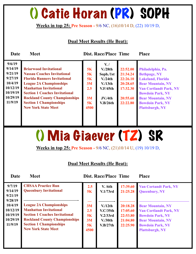### () Catie Horan (PR) SOPH

#### **Weeks in top 25: Pre Season -** 9/6 NC, (16)10/14 D, (22) 10/19 D,

### **Dual Meet Results (He Beat):**

| Date                                                                                              | <b>Meet</b>                                                                                                                                                                                                                                                                                                                    |                                                 | <b>Dist. Race/Place Time</b>                                                                                              |                                                                                  | <b>Place</b>                                                                                                                                                                                                                                  |
|---------------------------------------------------------------------------------------------------|--------------------------------------------------------------------------------------------------------------------------------------------------------------------------------------------------------------------------------------------------------------------------------------------------------------------------------|-------------------------------------------------|---------------------------------------------------------------------------------------------------------------------------|----------------------------------------------------------------------------------|-----------------------------------------------------------------------------------------------------------------------------------------------------------------------------------------------------------------------------------------------|
| 9/6/19<br>9/14/19<br>9/21/19<br>9/27/19<br>10/4/19<br>10/12/19<br>10/19/19<br>10/29/19<br>11/9/19 | <b>Briarwood Invitational</b><br><b>Nassau Coaches Invitational</b><br><b>Florida Runners Invitational</b><br><b>League 2A Championships</b><br><b>Manhattan Invitational</b><br><b>Section 1 Coaches Invitational</b><br><b>Rockland County Championships</b><br><b>Section 1 Championships</b><br><b>New York State Meet</b> | 5K<br>5K<br>5K<br>3M<br>2.5<br>3M<br>5K<br>4500 | $V_{\cdot}$<br>V <sub>1</sub> /28th<br>Soph./1st<br>V/24th<br>V/13 <sup>th</sup><br><b>V.F/45th</b><br>JV/4th<br>V.B/26th | 22:52.00<br>21:34.24<br>22:26.10<br>20:28.65<br>17:32.30<br>20:55.60<br>22:22.80 | Philadelphia, Pa.<br><b>Bethpage, NY</b><br><b>Lakeland, Florida</b><br><b>Bear Mountain, NY</b><br><b>Van Cortlandt Park, NY</b><br><b>Bowdoin Park, NY</b><br><b>Bear Mountain, NY</b><br><b>Bowdoin Park, NY</b><br><b>Plattsburgh, NY</b> |

### () Mia Giaever (TZ) SR

**Weeks in top 25: Pre Season -** 9/6 NC, (21)10/14 U, (19) 10/19 D,

### **Dual Meet Results (He Beat):**

| 9/7/19<br>9/14/19<br>9/21/19                                      | <b>CHSAA Practice Run</b><br><b>Queenbury Invitational</b>                                                                                                                                                       | 2.5<br>5K                           | V. / 6th<br>V.1/73rd                                    | 17:39.60<br>21:25.28                                     | <b>Van Cortandt Park, NY</b><br><b>Queenbury, NY</b>                                                                                                                  |
|-------------------------------------------------------------------|------------------------------------------------------------------------------------------------------------------------------------------------------------------------------------------------------------------|-------------------------------------|---------------------------------------------------------|----------------------------------------------------------|-----------------------------------------------------------------------------------------------------------------------------------------------------------------------|
| 9/28/19<br>10/4/19<br>10/12/19<br>10/19/19<br>10/29/19<br>11/9/19 | <b>League 2A Championships</b><br><b>Manhattan Invitational</b><br><b>Section 1 Coaches Invitational</b><br><b>Rockland County Championships</b><br><b>Section 1 Championships</b><br><b>New York State Meet</b> | 3M<br>2.5<br>5K<br>3M<br>5K<br>4500 | V/12th<br>V.C/35th<br>V.2/33rd<br>$V/30$ th<br>V.B/27th | 20:18.28<br>17:05.60<br>22:53.80<br>21:04.80<br>22:25.90 | <b>Bear Mountain, NY</b><br><b>Van Cortlandt Park, NY</b><br><b>Bowdoin Park, NY</b><br><b>Bear Mountain, NY</b><br><b>Bowdoin Park, NY</b><br><b>Plattsburgh, NY</b> |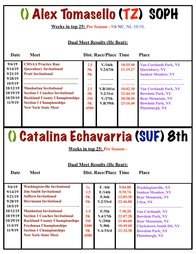### () Alex Tomasello (TZ) SOPH

### **Weeks in top 25: Pre Season -** 9/6 NC, NL 10/19,

### **Dual Meet Results (He Beat):**

| Date                                                                                              | <b>Meet</b>                                                                                                                                                                                                                                                               |                                                         | <b>Dist. Race/Place Time</b>                                                               |                                                                      | <b>Place</b>                                                                                                                                                                                                                   |
|---------------------------------------------------------------------------------------------------|---------------------------------------------------------------------------------------------------------------------------------------------------------------------------------------------------------------------------------------------------------------------------|---------------------------------------------------------|--------------------------------------------------------------------------------------------|----------------------------------------------------------------------|--------------------------------------------------------------------------------------------------------------------------------------------------------------------------------------------------------------------------------|
| 9/6/19<br>9/14/19<br>9/21/19<br>9/28/19<br>10/5/19<br>10/12/19<br>10/19/19<br>10/29/19<br>11/9/19 | <b>CHSAA Practice Run</b><br><b>Queenbury Invitational</b><br><b>Pratt Invitational</b><br><b>Manhattan Invitational</b><br><b>Section 1 Coaches Invitational</b><br><b>Rockland County Championships</b><br><b>Section 1 Championships</b><br><b>New York State Meet</b> | 2.5<br><b>5K</b><br>5K<br>2.5<br>5K<br>3M<br>5K<br>4500 | V <sub>16th</sub><br>V.2/67th<br>V.B/101st<br>V.2/31st<br>V <sub>1</sub> /27th<br>V.B/39th | 18:55.90<br>21:19.27<br>18:02.30<br>22:46.10<br>20:58.50<br>23:16.40 | <b>Van Cortlandt Park, NY</b><br><b>Queenbury, NY</b><br><b>Sunken Meadow, NY</b><br><b>Van Cortlandt Park, NY</b><br><b>Bowdoin Park, NY</b><br><b>Bear Mountain, NY</b><br><b>Bowdoin Park, NY</b><br><b>Plattsburgh, NY</b> |

### () Catalina Echavarria (SUF) 8th

**Weeks in top 25: Pre Season -**

#### **Dual Meet Results (He Beat):**

| 9/6/19<br>9/14/19<br>9/21/19<br>9/28/19<br>10/5/19     | <b>Washingtonville Invitational</b><br><b>Jim Smith Invitational</b><br><b>Suffern Invitational</b><br><b>Herrmann Invitational</b>                                                                             | 1x<br>1.5<br>5K<br>5K                 | F. / 4th<br>F/14th<br>F/6th<br>V.2/33rd                            | 9:04.00<br>9:39.74<br>12:03.20<br>22:46.80              | <b>Washingtonville, NY</b><br><b>Sunken Meadow, NY</b><br><b>Bear Mountain, NY</b><br><b>Utica, NY</b>                                                                 |
|--------------------------------------------------------|-----------------------------------------------------------------------------------------------------------------------------------------------------------------------------------------------------------------|---------------------------------------|--------------------------------------------------------------------|---------------------------------------------------------|------------------------------------------------------------------------------------------------------------------------------------------------------------------------|
| 10/12/19<br>10/19/19<br>10/29/19<br>11/4/19<br>11/9/19 | <b>Manhattan Invitational</b><br><b>Section 1 Coaches Invitational</b><br><b>Rockland County Championships</b><br><b>Freshman Championships</b><br><b>Section 1 Championships</b><br><b>New York State Meet</b> | 1.5<br>5K<br>3M<br>2400<br>5K<br>4500 | $F$ ./5th<br>V.4/17th<br>V <sub>1</sub> /29th<br>V.8th<br>V.A/33rd | 7:30.20<br>22:07.20<br>21:04.60<br>10:49.60<br>21:32.30 | <b>Van Cortlandt, NY</b><br><b>Bowdoin Park, NY</b><br><b>Bear Mountain, NY</b><br><b>Clarkstown South HS, NY</b><br><b>Bowdoin Park, NY</b><br><b>Plattsburgh, NY</b> |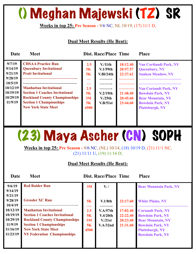### () Meghan Majewski (TZ) SR

#### **Weeks in top 25: Pre Season -** 9/6 NC, NL 10/19, (17) 11/1 D,

### **Dual Meet Results (He Beat):**

| Date                                                                                              | <b>Meet</b>                                                                                                                                                                                                                                                               |                                                  | <b>Dist. Race/Place Time</b>                                                                           |                                                                      | <b>Place</b>                                                                                                                                                                                                                  |
|---------------------------------------------------------------------------------------------------|---------------------------------------------------------------------------------------------------------------------------------------------------------------------------------------------------------------------------------------------------------------------------|--------------------------------------------------|--------------------------------------------------------------------------------------------------------|----------------------------------------------------------------------|-------------------------------------------------------------------------------------------------------------------------------------------------------------------------------------------------------------------------------|
| 9/7/19<br>9/14/19<br>9/21/19<br>9/28/19<br>10/5/19<br>10/12/19<br>10/19/19<br>10/29/19<br>11/9/19 | <b>CHSAA Practice Run</b><br><b>Queenbury Invitational</b><br><b>Pratt Invitational</b><br><b>Manhattan Invitational</b><br><b>Section 1 Coaches Invitational</b><br><b>Rockland County Championships</b><br><b>Section 1 Championships</b><br><b>New York State Meet</b> | 2.5<br>5K<br>5K<br>2.5<br>5K<br>3M<br>5K<br>4500 | V <sub>11th</sub><br>V.1/59 <sub>th</sub><br>V.BI/24th<br>V.2/19th<br>V <sub>1</sub> /25th<br>V.B/51st | 18:12.40<br>20:57.57<br>22:37.62<br>21:48.40<br>20:45.60<br>23:44.60 | <b>Van Cortlandt Park, NY</b><br><b>Queenbury, NY</b><br><b>Sunken Meadow, NY</b><br><b>Van Cortandt Park, NY</b><br><b>Bowdoin Park, NY</b><br><b>Bear Mountain, NY</b><br><b>Bowdoin Park, NY</b><br><b>Plattsburgh, NY</b> |

### (23) Maya Ascher (CN) SOPH

**Weeks in top 25: Pre Season -** 9/6 NC, (NL) 10/14, (18) 10/19 D, (21) 11/1 NC, (21) 11/11 U, (19) 11/16 D,

### **Dual Meet Results (He Beat):**

| 9/6/19<br>9/14/19                                                   | <b>Red Raider Run</b>                                                                                                                                                                                                | 3M                            | $V_{\cdot}$ /                              |                                              | <b>Bear Mountain Park, NY</b>                                                                                                                                   |
|---------------------------------------------------------------------|----------------------------------------------------------------------------------------------------------------------------------------------------------------------------------------------------------------------|-------------------------------|--------------------------------------------|----------------------------------------------|-----------------------------------------------------------------------------------------------------------------------------------------------------------------|
| 9/21/19<br>9/28/19<br>10/4/19                                       | <b>Gressler XC Run</b>                                                                                                                                                                                               | 5K                            | V.1/8 <sub>th</sub>                        | 22:17.60                                     | <b>White Plains, NY</b>                                                                                                                                         |
| 10/12/19<br>10/19/19<br>10/29/19<br>11/9/19<br>11/16/19<br>11/23/19 | <b>Manhattan Invitational</b><br><b>Section 1 Coaches Invitational</b><br><b>Rockland County Championships</b><br><b>Section 1 Championships</b><br><b>New York State Meet</b><br><b>NY Federation Championships</b> | 2.5<br>5K<br>3M<br>5K<br>4500 | V.A/57th<br>V.4/20th<br>V/21st<br>V.A/32nd | 17:02.40<br>22:22.40<br>20:23.40<br>21:31.60 | <b>Cortandt Park, NY</b><br><b>Bowdoin Park, NY</b><br><b>Bear Mountain, NY</b><br><b>Bowdoin Park, NY</b><br><b>Plattsburgh, NY</b><br><b>Bowdoin Park, NY</b> |